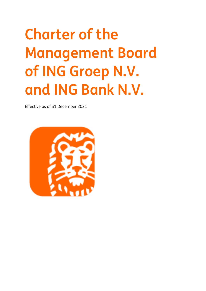# **Charter of the Management Board of ING Groep N.V. and ING Bank N.V.**

Effective as of 31 December 2021

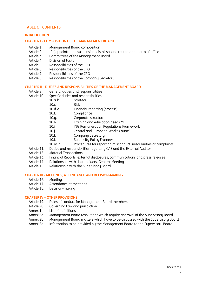### <span id="page-1-0"></span>**TABLE OF CONTENTS**

#### **[INTRODUCTION](#page-2-0)**

#### **CHAPTER I - [COMPOSITION OF THE MANAGEMENT BOARD](#page-4-0)**

- [Article 1. Management Board composition](#page-4-1)
- [Article 2. \(Re\)appointment, suspension, dismissal and retirement](#page-4-2) term of office
- [Article 3. Committees of the Management Board](#page-4-3)<br>Article 4. Division of tasks
- Division of tasks
- [Article 5. Responsibilities of the CEO](#page-5-1)<br>Article 6. Responsibilities of the CFO
- Responsibilities of the CFO
- [Article 7. Responsibilities of the CRO](#page-7-0)<br>Article 8. Responsibilities of the Com
- Responsibilities of the Company Secretary

#### **CHAPTER II - [DUTIES AND RESPONSIBILITIES OF THE MANAGEMENT BOARD](#page-8-0)**

- [Article 9. General duties and responsibilities](#page-8-1)
- [Article 10. Specific duties and responsibilities](#page-9-0)
	- [10.a-b. Strategy](#page-9-1)
		- [10.c.](#page-9-2) [Risk](#page-9-2)<br>10.d-e. Fina
		- [Financial reporting \(process\)](#page-9-3)
		- [10.f.](#page-10-0) [Compliance](#page-10-0)
		- [10.g.](#page-10-1) [Corporate](#page-10-1) structure
		- [10.h.](#page-10-2) [Training and education](#page-10-2) needs MB
		- [10.i.](#page-10-3) ING [Remuneration Regulations](#page-10-3) Framework
		- [10.j.](#page-10-4) [Central and European Works Council](#page-10-4)
		- [10.k.](#page-10-5) [Company Secretary](#page-10-5)
		- [10.l.](#page-10-6) [Suitability Policy Framework](#page-10-6)
		- [10.m-n.](#page-10-7) [Procedures for reporting misconduct, irregularities or complaints](#page-10-7)
- [Article 11. Duties and responsibilities regarding CAS and the External Auditor](#page-10-8)
- [Article 12. Material Transactions](#page-11-0)
- [Article 13. Financial Reports, external disclosures, communications and press releases](#page-11-1)
- [Article 14. Relationship with shareholders, General Meeting](#page-12-0)
- [Article 15. Relationship with the Supervisory Board](#page-13-0)

#### **CHAPTER III - [MEETINGS, ATTENDANCE AND DECISION-MAKING](#page-13-1)**

- [Article 16. Meetings](#page-13-2)
- [Article 17. Attendance at meetings](#page-14-0)
- [Article 18. Decision-making](#page-14-1)

#### **CHAPTER IV – [OTHER PROVISIONS](#page-16-0)**

- [Article 19. Rules of conduct for Management Board members](#page-16-1)
- Article 20. [Governing Law and jurisdiction](#page-19-0)
- [Annex 1 List of definitions](#page-20-0)<br>Annex 2a Management Boc
- [Management Board resolutions which require approval of the Supervisory Board](#page-24-0)
- Annex 2b Management Board matters which have to be discussed with the Supervisory Board
- Annex 2c Information to be provided by the Management Board to the Supervisory Board

#### [Back to top](#page-1-0)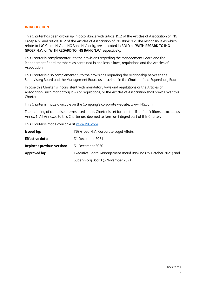#### <span id="page-2-0"></span>**INTRODUCTION**

This Charter has been drawn up in accordance with article 19.2 of the Articles of Association of ING Groep N.V. and article 10.2 of the Articles of Association of ING Bank N.V. The responsibilities which relate to ING Groep N.V. or ING Bank N.V. only, are indicated in BOLD as **'WITH REGARD TO ING GROEP N.V.**' or **'WITH REGARD TO ING BANK N.V.**' respectively.

This Charter is complementary to the provisions regarding the Management Board and the Management Board members as contained in applicable laws, regulations and the Articles of Association.

This Charter is also complementary to the provisions regarding the relationship between the Supervisory Board and the Management Board as described in the Charter of the Supervisory Board.

In case this Charter is inconsistent with mandatory laws and regulations or the Articles of Association, such mandatory laws or regulations, or the Articles of Association shall prevail over this Charter.

This Charter is made available on the Company's corporate website, www.ING.com.

The meaning of capitalised terms used in this Charter is set forth in the list of definitions attached as Annex 1. All Annexes to this Charter are deemed to form an integral part of this Charter.

This Charter is made available at [www.ING.com.](http://www.ing.com/)

| Issued by:                 | ING Groep N.V., Corporate Legal Affairs                         |
|----------------------------|-----------------------------------------------------------------|
| Effective date:            | 31 December 2021                                                |
| Replaces previous version: | 31 December 2020                                                |
| Approved by:               | Executive Board, Management Board Banking (25 October 2021) and |
|                            | Supervisory Board (3 November 2021)                             |

#### [Back to top](#page-1-0)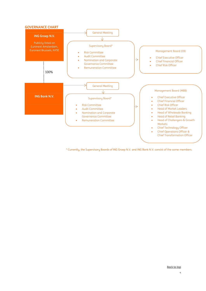

\* Currently, the Supervisory Boards of ING Groep N.V. and ING Bank N.V. consist of the same members.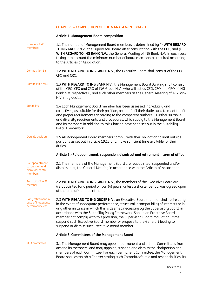## <span id="page-4-0"></span>**CHAPTER I – COMPOSITION OF THE MANAGEMENT BOARD**

## <span id="page-4-1"></span>**Article 1. Management Board composition**

| Number of MB                                                     |                                                                                                                                                                                                                                                                                                                                                                                                                                                                                                                                                             |
|------------------------------------------------------------------|-------------------------------------------------------------------------------------------------------------------------------------------------------------------------------------------------------------------------------------------------------------------------------------------------------------------------------------------------------------------------------------------------------------------------------------------------------------------------------------------------------------------------------------------------------------|
| members                                                          | 1.1 The number of Management Board members is determined by (i) WITH REGARD<br>TO ING GROEP N.V., the Supervisory Board after consultation with the CEO, and (ii)<br>WITH REGARD TO ING BANK N.V., the General Meeting of ING Bank N.V., in each case<br>taking into account the minimum number of board members as required according<br>to the Articles of Association.                                                                                                                                                                                   |
| <b>Composition EB</b>                                            | 1.2 WITH REGARD TO ING GROEP N.V., the Executive Board shall consist of the CEO,<br>CFO and CRO.                                                                                                                                                                                                                                                                                                                                                                                                                                                            |
| <b>Composition MBB</b>                                           | 1.3 WITH REGARD TO ING BANK N.V., the Management Board Banking shall consist<br>of the CEO, CFO and CRO of ING Groep N.V., who will act as CEO, CFO and CRO of ING<br>Bank N.V. respectively, and such other members as the General Meeting of ING Bank<br>N.V. may decide.                                                                                                                                                                                                                                                                                 |
| Suitability                                                      | 1.4 Each Management Board member has been assessed individually and<br>collectively as suitable for their position, able to fulfil their duties and to meet the fit<br>and proper requirements according to the competent authority. Further suitability<br>and diversity requirements and procedures, which apply to the Management Board<br>and its members in addition to this Charter, have been set out in the Suitability<br>Policy Framework.                                                                                                        |
| Outside position                                                 | 1.5 All Management Board members comply with their obligation to limit outside<br>positions as set out in article 19.13 and make sufficient time available for their<br>duties.                                                                                                                                                                                                                                                                                                                                                                             |
|                                                                  | Article 2. (Re)appointment, suspension, dismissal and retirement - term of office                                                                                                                                                                                                                                                                                                                                                                                                                                                                           |
| (Re)appointment,<br>suspension and<br>dismissal of MB<br>members | 2.1 The members of the Management Board are reappointed, suspended and/or<br>dismissed by the General Meeting in accordance with the Articles of Association.                                                                                                                                                                                                                                                                                                                                                                                               |
| Term of office EB<br>member                                      | 2.2 WITH REGARD TO ING GROEP N.V., the members of the Executive Board are<br>(re)appointed for a period of four (4) years, unless a shorter period was agreed upon<br>at the time of (re)appointment.                                                                                                                                                                                                                                                                                                                                                       |
| Early retirement in<br>case of inadequate<br>performance etc.    | 2.3 WITH REGARD TO ING GROEP N.V., an Executive Board member shall retire early<br>in the event of inadequate performance, structural incompatibility of interests or in<br>any other instance in which this is deemed necessary by the Supervisory Board, in<br>accordance with the Suitability Policy Framework. Should an Executive Board<br>member not comply with this provision, the Supervisory Board may at any time<br>suspend such Executive Board member or propose to the General Meeting to<br>suspend or dismiss such Executive Board member. |
|                                                                  | Article 3. Committees of the Management Board                                                                                                                                                                                                                                                                                                                                                                                                                                                                                                               |
| <b>MB Committees</b>                                             | 3.1 The Management Board may appoint permanent and ad hoc Committees from<br>among its members, and may appoint, suspend and dismiss the chairperson and<br>members of each Committee. For each permanent Committee, the Management                                                                                                                                                                                                                                                                                                                         |

<span id="page-4-3"></span><span id="page-4-2"></span>Board shall establish a Charter stating such Committee's role and responsibilities, its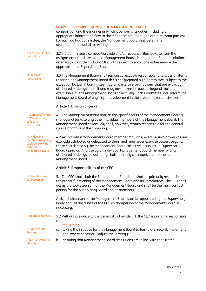#### **CHAPTER I – COMPOSITION OF THE MANAGEMENT BOARD**

composition and the manner in which it performs its duties (including an appropriate information flow to the Management Board and other relevant parties). For each ad hoc Committee, the Management Board shall determine aforementioned details in writing.

Approval SB for MB resolutions 3.2 If a Committee's composition, role and/or responsibilities deviate from the assignment of tasks within the Management Board, Management Board resolutions referred to in article 18.1 and 18.2 with respect to such Committee require the approval of the Supervisory Board.

MB remains responsible 3.3 The Management Board shall remain collectively responsible for discussion items reported and Management Board decisions prepared by a Committee, subject to the exception by law. A Committee may only exercise such powers that are explicitly attributed or delegated to it and may never exercise powers beyond those exercisable by the Management Board collectively. Each Committee shall inform the Management Board of any major development in the area of its responsibilities.

#### <span id="page-5-1"></span><span id="page-5-0"></span>**Article 4. Division of tasks**

| Assign specific tasks<br>to MB members;<br>collective<br>responsibility                              | 4.1 The Management Board may assign specific parts of the Management Board's<br>managerial tasks to any other individual members of the Management Board. The<br>Management Board collectively shall, however, remain responsible for the general<br>course of affairs of the Company.                                                                                                                                            |
|------------------------------------------------------------------------------------------------------|-----------------------------------------------------------------------------------------------------------------------------------------------------------------------------------------------------------------------------------------------------------------------------------------------------------------------------------------------------------------------------------------------------------------------------------|
| <b>Individual MB</b><br>members may only<br>exercise explicitly<br>attributed or<br>delegated powers | 4.2 An individual Management Board member may only exercise such powers as are<br>explicitly attributed or delegated to them and may never exercise powers beyond<br>those exercisable by the Management Board collectively, subject to Supervisory<br>Board approval. Any use by an individual Management Board member of any<br>attributed or delegated authority shall be timely communicated to the full<br>Management Board. |
|                                                                                                      | Article 5. Responsibilities of the CEO                                                                                                                                                                                                                                                                                                                                                                                            |
| CEO as chair and<br>spokesperson                                                                     | 5.1 The CEO shall chair the Management Board and shall be primarily responsible for<br>the proper functioning of the Management Board and its Committees. The CEO shall<br>act as the spokesperson for the Management Board and shall be the main contact<br>person for the Supervisory Board and its members.                                                                                                                    |
|                                                                                                      | A vice-chairperson of the Management Board shall be appointed by the Supervisory<br>Board to fulfil the duties of the CEO as chairperson of the Management Board, if<br>necessary.                                                                                                                                                                                                                                                |
| Responsibilities CEO                                                                                 | 5.2 Without prejudice to the generality of article 5.1, the CEO is primarily responsible<br>for:                                                                                                                                                                                                                                                                                                                                  |
| Initiative for the<br>Strategy                                                                       | the Strategy<br>taking the initiative for the Management Board to formulate, record, implement<br>α.<br>and, where necessary, adjust the Strategy;                                                                                                                                                                                                                                                                                |
| Alignment with the<br>Strategy                                                                       | ensuring that Management Board resolutions are in line with the Strategy;<br>b.                                                                                                                                                                                                                                                                                                                                                   |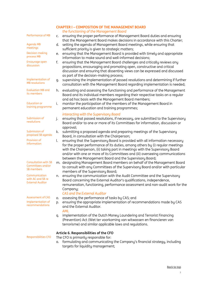#### **CHAPTER I – COMPOSITION OF THE MANAGEMENT BOARD**  *the functioning of the Management Board* Performance of MB c. ensuring the proper performance of Management Board duties and ensuring that the Management Board makes decisions in accordance with this Charter; Agenda MB meetings d. setting the agenda of Management Board meetings, while ensuring that sufficient priority is given to strategic matters; Decision-making process MB e. ensuring that the Management Board is provided with timely and appropriate information to make sound and well-informed decisions; Encourage open discussion f. ensuring that the Management Board challenges and critically reviews any propositions, encouraging and promoting open, constructive and critical discussion and ensuring that dissenting views can be expressed and discussed as part of the decision-making process; Implementation of MB resolutions g. supervising the implementation of passed resolutions and determining if further consultation with the Management Board regarding implementation is needed; Evaluation MB and its members h. evaluating and assessing the functioning and performance of the Management Board and its individual members regarding their respective tasks on a regular and ad hoc basis with the Management Board members; Education or training programme i. monitor the participation of the members of the Management Board in permanent education and training programmes; *interacting with the Supervisory Board* Submission of resolutions j. ensuring that passed resolutions, if necessary, are submitted to the Supervisory Board and/or to one or more of its Committees for information, discussion or approval; Submission of proposed SB agenda k. submitting a proposed agenda and preparing meetings of the Supervisory Board, in consultation with the Chairperson; Provision of information l. ensuring that the Supervisory Board is provided with all information necessary for the proper performance of its duties, among others by (i) regular meetings with the Chairperson, (ii) taking part in meetings with the Supervisory Board and/or with one or more of its Committees and (iii) overseeing communications between the Management Board and the Supervisory Board; Consultation with SB Committees and/or SB members m. designating Management Board members on behalf of the Management Board to consult with any Committees of the Supervisory Board and/or with particular members of the Supervisory Board; Communication with AC and SB re External Auditor n. ensuring the communication with the Audit Committee and the Supervisory Board concerning the External Auditor's qualifications, independence, remuneration, functioning, performance assessment and non-audit work for the Company; *CAS and the External Auditor* Assessment of CAS o. assessing the performance of tasks by CAS; and Implementation of Implementation of p. ensuring the appropriate implementation of recommendations made by CAS<br>recommendations and the External Auditors and the External Auditor. *AML* q. implementation of the Dutch Money Laundering and Terrorist Financing (Prevention) Act (Wet ter voorkoming van witwassen en financieren van terrorisme) and similar applicable laws and regulations. **Article 6. Responsibilities of the CFO** Responsibilities CFO The CFO is primarily responsible for: a. formulating and communicating the Company's financial strategy, including

<span id="page-6-0"></span>targets for liquidity management;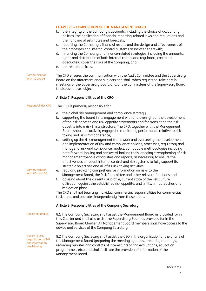<span id="page-7-1"></span><span id="page-7-0"></span>

|                                                                         | <b>CHAPTER I - COMPOSITION OF THE MANAGEMENT BOARD</b><br>the integrity of the Company's accounts, including the choice of accounting<br>b.<br>policies, the application of financial reporting-related laws and regulations and<br>the handling of estimates and forecasts;<br>reporting the Company's financial results and the design and effectiveness of<br>C.<br>the processes and internal control systems associated therewith;<br>financing the Company and finance-related strategies, including the amounts,<br>d.<br>types and distribution of both internal capital and regulatory capital to<br>adequately cover the risks of the Company; and<br>tax-related policies.<br>е.                                                                                                                                                                                                                                                                                                                                                                                                                                                                                                                                                                                                                                                                                                                                                                                                      |
|-------------------------------------------------------------------------|--------------------------------------------------------------------------------------------------------------------------------------------------------------------------------------------------------------------------------------------------------------------------------------------------------------------------------------------------------------------------------------------------------------------------------------------------------------------------------------------------------------------------------------------------------------------------------------------------------------------------------------------------------------------------------------------------------------------------------------------------------------------------------------------------------------------------------------------------------------------------------------------------------------------------------------------------------------------------------------------------------------------------------------------------------------------------------------------------------------------------------------------------------------------------------------------------------------------------------------------------------------------------------------------------------------------------------------------------------------------------------------------------------------------------------------------------------------------------------------------------|
| Communication<br>with AC and SB                                         | The CFO ensures the communication with the Audit Committee and the Supervisory<br>Board on the aforementioned subjects and shall, when requested, take part in<br>meetings of the Supervisory Board and/or the Committees of the Supervisory Board<br>to discuss these subjects.                                                                                                                                                                                                                                                                                                                                                                                                                                                                                                                                                                                                                                                                                                                                                                                                                                                                                                                                                                                                                                                                                                                                                                                                                 |
|                                                                         | Article 7. Responsibilities of the CRO                                                                                                                                                                                                                                                                                                                                                                                                                                                                                                                                                                                                                                                                                                                                                                                                                                                                                                                                                                                                                                                                                                                                                                                                                                                                                                                                                                                                                                                           |
| Responsibilities CRO                                                    | The CRO is primarily responsible for:                                                                                                                                                                                                                                                                                                                                                                                                                                                                                                                                                                                                                                                                                                                                                                                                                                                                                                                                                                                                                                                                                                                                                                                                                                                                                                                                                                                                                                                            |
| Communication<br>with RiCo and SB                                       | the global risk management and compliance strategy;<br>α.<br>supporting the board in its engagement with and oversight of the development<br>b.<br>of the risk appetite and risk appetite statements and for translating the risk<br>appetite into a risk limits structure. The CRO, together with the Management<br>Board, should be actively engaged in monitoring performance relative to risk-<br>taking and risk limit adherence;<br>setting up the risk management framework and overseeing the development<br>C.<br>and implementation of risk and compliance policies, processes, regulatory and<br>managerial risk and compliance models, compatible methodologies including<br>both forward-looking and backward-looking tools, ongoing strengthening of risk<br>management/people capabilities and reports, as necessary to ensure the<br>effectiveness of robust internal control and risk systems to fully support its<br>strategic objectives and all of its risk-taking activities;<br>regularly providing comprehensive information on risks to the<br>e.<br>Management Board, the Risk Committee and other relevant functions and<br>f.<br>advising about the current risk profile, current state of the risk culture,<br>utilisation against the established risk appetite, and limits, limit breaches and<br>mitigation plans.<br>The CRO shall not bear any individual commercial responsibilities for commercial<br>task areas and operates independently from those areas. |
|                                                                         | Article 8. Responsibilities of the Company Secretary                                                                                                                                                                                                                                                                                                                                                                                                                                                                                                                                                                                                                                                                                                                                                                                                                                                                                                                                                                                                                                                                                                                                                                                                                                                                                                                                                                                                                                             |
| <b>Assists MB and SB</b>                                                | 8.1 The Company Secretary shall assist the Management Board as provided for in<br>this Charter and shall also assist the Supervisory Board as provided for in the<br>Supervisory Board Charter. All Management Board members shall have access to the<br>advice and services of the Company Secretary.                                                                                                                                                                                                                                                                                                                                                                                                                                                                                                                                                                                                                                                                                                                                                                                                                                                                                                                                                                                                                                                                                                                                                                                           |
| Assists CEO in<br>organisation of MB<br>and information<br>provisioning | 8.2 The Company Secretary shall assist the CEO in the organisation of the affairs of<br>the Management Board (preparing the meeting agendas, preparing meetings,<br>recording minutes and conflicts of interest, preparing evaluations, education<br>programmes, etc.) and shall facilitate the provision of information of the<br>Management Board.                                                                                                                                                                                                                                                                                                                                                                                                                                                                                                                                                                                                                                                                                                                                                                                                                                                                                                                                                                                                                                                                                                                                             |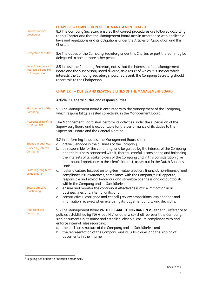<span id="page-8-1"></span><span id="page-8-0"></span>

| <b>Ensures correct</b><br>procedures                          | <b>CHAPTER I - COMPOSITION OF THE MANAGEMENT BOARD</b><br>8.3 The Company Secretary ensures that correct procedures are followed according<br>to this Charter and that the Management Board acts in accordance with applicable<br>laws and requlations and its obligations under the Articles of Association and this<br>Charter.                                                                                                                                                           |
|---------------------------------------------------------------|---------------------------------------------------------------------------------------------------------------------------------------------------------------------------------------------------------------------------------------------------------------------------------------------------------------------------------------------------------------------------------------------------------------------------------------------------------------------------------------------|
| Delegation of duties                                          | 8.4 The duties of the Company Secretary under this Charter, or part thereof, may be<br>delegated to one or more other people.                                                                                                                                                                                                                                                                                                                                                               |
| Report divergence of<br>interests SB and MB<br>to Chairperson | 8.5 In case the Company Secretary notes that the interests of the Management<br>Board and the Supervisory Board diverge, as a result of which it is unclear which<br>interests the Company Secretary should represent, the Company Secretary should<br>report this to the Chairperson.                                                                                                                                                                                                      |
|                                                               | <b>CHAPTER II - DUTIES AND RESPONSIBILITIES OF THE MANAGEMENT BOARD</b>                                                                                                                                                                                                                                                                                                                                                                                                                     |
|                                                               | Article 9. General duties and responsibilities                                                                                                                                                                                                                                                                                                                                                                                                                                              |
| Management of the<br>Company                                  | 9.1 The Management Board is entrusted with the management of the Company,<br>which responsibility is vested collectively in the Management Board.                                                                                                                                                                                                                                                                                                                                           |
| Accountability of MB<br>to SB and GM                          | The Management Board shall perform its activities under the supervision of the<br>Supervisory Board and is accountable for the performance of its duties to the<br>Supervisory Board and the General Meeting.                                                                                                                                                                                                                                                                               |
| <b>Engage in business</b><br>Guided by interest<br>Company    | 9.2 In performing its duties, the Management Board shall:<br>actively engage in the business of the Company;<br>α.<br>be responsible for the continuity, and be guided by the interest of the Company<br>b.<br>and the business connected with it, thereby carefully considering and balancing<br>the interests of all stakeholders of the Company and in this consideration give<br>paramount importance to the client's interest, as set out in the Dutch Banker's<br>Oath <sup>1</sup> ; |
| Fostering long-term<br>value creation                         | foster a culture focused on long-term value creation, financial, non-financial and<br>c.<br>compliance risk awareness, compliance with the Company's risk appetite,<br>responsible and ethical behaviour and stimulate openness and accountability<br>within the Company and its Subsidiaries;                                                                                                                                                                                              |
| <b>Ensure effective</b><br>functioning                        | ensure and monitor the continuous effectiveness of risk mitigation in all<br>d.<br>business lines and internal units; and<br>constructively challenge and critically review propositions, explanations and<br>е.<br>information received when exercising its judgement and taking decisions.                                                                                                                                                                                                |
| Represent the<br>Company                                      | 9.3 The Management Board (WITH REGARD TO ING BANK N.V., either by reference to<br>policies established by ING Groep N.V. or otherwise) shall represent the Company,<br>sign documents in its name and establish, observe, ensure compliance with and<br>enforce internal rules regarding:<br>the decision structure of the Company and its Subsidiaries; and<br>α.<br>the representation of the Company and its Subsidiaries and the signing of<br>b.<br>documents in their name.           |

<span id="page-8-2"></span> $<sup>1</sup>$  Regeling eed of belofte financiële sector 2015.</sup>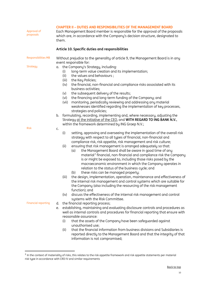<span id="page-9-2"></span><span id="page-9-1"></span><span id="page-9-0"></span>

| Approval of<br>proposals   | <b>CHAPTER II - DUTIES AND RESPONSIBILITIES OF THE MANAGEMENT BOARD</b><br>Each Management Board member is responsible for the approval of the proposals<br>which are, in accordance with the Company's decision structure, designated to<br>them. |                                                                                                                                                                                                                                                                                                                                                                                                                                                                                                                                                                                                                                                                                                                                                                                                                                                                                                                             |
|----------------------------|----------------------------------------------------------------------------------------------------------------------------------------------------------------------------------------------------------------------------------------------------|-----------------------------------------------------------------------------------------------------------------------------------------------------------------------------------------------------------------------------------------------------------------------------------------------------------------------------------------------------------------------------------------------------------------------------------------------------------------------------------------------------------------------------------------------------------------------------------------------------------------------------------------------------------------------------------------------------------------------------------------------------------------------------------------------------------------------------------------------------------------------------------------------------------------------------|
|                            |                                                                                                                                                                                                                                                    | Article 10. Specific duties and responsibilities                                                                                                                                                                                                                                                                                                                                                                                                                                                                                                                                                                                                                                                                                                                                                                                                                                                                            |
| <b>Responsibilities MB</b> | Without prejudice to the generality of article 9, the Management Board is in any<br>event responsible for:                                                                                                                                         |                                                                                                                                                                                                                                                                                                                                                                                                                                                                                                                                                                                                                                                                                                                                                                                                                                                                                                                             |
| Strategy                   | α.<br>(i)<br>(ii)<br>(iii)<br>(iv)<br>(v)<br>(vi)<br>(vii)                                                                                                                                                                                         | the Company's Strategy, including:<br>long-term value creation and its implementation;<br>the values and behaviours;<br>the Key Policies;<br>the financial, non-financial and compliance risks associated with its<br>business activities;<br>the subsequent delivery of the results;<br>the financing and long-term funding of the Company; and<br>monitoring, periodically reviewing and addressing any material<br>weaknesses identified regarding the implementation of key processes,<br>strategies and policies;                                                                                                                                                                                                                                                                                                                                                                                                      |
|                            | b.                                                                                                                                                                                                                                                 | formulating, recording, implementing and, where necessary, adjusting the<br>Strategy at the initiative of the CEO, and WITH REGARD TO ING BANK N.V.,<br>within the framework determined by ING Groep N.V.;                                                                                                                                                                                                                                                                                                                                                                                                                                                                                                                                                                                                                                                                                                                  |
| <b>Risk</b>                | C.<br>(i)<br>(ii)                                                                                                                                                                                                                                  | setting, approving and overseeing the implementation of the overall risk<br>strategy with respect to all types of financial, non-financial and<br>compliance risk, risk appetite, risk management and risk culture;<br>ensuring that risk management is arranged adequately so that:<br>the Management Board shall be aware in good time of any<br>(a)<br>material <sup>2</sup> financial, non-financial and compliance risk the Company<br>is or might be exposed to, including those risks posed by the<br>macroeconomic environment in which the Company operates in<br>relation to the status of the business cycle; and                                                                                                                                                                                                                                                                                                |
| <b>Financial reporting</b> | (iii)<br>(iv)<br>d.<br>е.<br>(i)<br>(ii)                                                                                                                                                                                                           | these risks can be managed properly;<br>(b)<br>the design, implementation, operation, maintenance and effectiveness of<br>the internal risk management and control systems which are suitable for<br>the Company (also including the resourcing of the risk management<br>function); and<br>discuss the effectiveness of the internal risk management and control<br>systems with the Risk Committee.<br>the financial reporting process;<br>establishing, maintaining and evaluating disclosure controls and procedures as<br>well as internal controls and procedures for financial reporting that ensure with<br>reasonable assurance:<br>that the assets of the Company have been safeguarded against<br>unauthorised use;<br>that the financial information from business divisions and Subsidiaries is<br>reported directly to the Management Board and that the integrity of that<br>information is not compromised; |

<span id="page-9-4"></span><span id="page-9-3"></span> $^2$  In the context of materiality of risks, this relates to the risk appetite framework and risk appetite statements per material risk type in accordance with CRD IV and similar requirements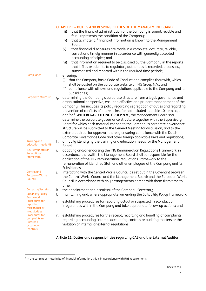<span id="page-10-1"></span><span id="page-10-0"></span>

|                                                                           |          | <b>CHAPTER II - DUTIES AND RESPONSIBILITIES OF THE MANAGEMENT BOARD</b><br>that the financial administration of the Company is sound, reliable and<br>(iii)<br>fairly represents the condition of the Company;<br>that all material <sup>3</sup> financial information is known to the Management<br>(iv)<br>Board;<br>that financial disclosures are made in a complete, accurate, reliable,<br>(v)<br>correct and timely manner in accordance with generally accepted<br>accounting principles; and<br>that information required to be disclosed by the Company in the reports<br>(vi)<br>that it files or submits to regulatory authorities is recorded, processed,<br>summarised and reported within the required time periods;                                                                                  |
|---------------------------------------------------------------------------|----------|----------------------------------------------------------------------------------------------------------------------------------------------------------------------------------------------------------------------------------------------------------------------------------------------------------------------------------------------------------------------------------------------------------------------------------------------------------------------------------------------------------------------------------------------------------------------------------------------------------------------------------------------------------------------------------------------------------------------------------------------------------------------------------------------------------------------|
| Compliance                                                                | f.       | ensuring:<br>(i) that the Company has a Code of Conduct and complies therewith, which<br>shall be posted on the corporate website of ING Groep N.V.; and<br>(ii) compliance with all laws and regulations applicable to the Company and its<br>Subsidiaries:                                                                                                                                                                                                                                                                                                                                                                                                                                                                                                                                                         |
| Corporate structure                                                       | g.       | determining the Company's corporate structure from a legal, governance and<br>organisational perspective, ensuring effective and prudent management of the<br>Company. This includes its policy regarding segregation of duties and regarding<br>prevention of conflicts of interest, insofar not included in article 10 items c, e<br>and/or f. WITH REGARD TO ING GROEP N.V., the Management Board shall<br>determine the corporate governance structure together with the Supervisory<br>Board for which each material change to the Company's corporate governance<br>structure will be submitted to the General Meeting for discussion, and to the<br>extent required, for approval, thereby ensuring compliance with the Dutch<br>Corporate Governance Code and other foreign applicable laws and regulations; |
| <b>Training and</b><br>education needs MB                                 | h.       | annually identifying the training and education needs for the Management<br>Board;                                                                                                                                                                                                                                                                                                                                                                                                                                                                                                                                                                                                                                                                                                                                   |
| <b>ING Remuneration</b><br>Regulations<br>Framework                       | i.       | adopting and/or endorsing the ING Remuneration Regulations Framework; in<br>accordance therewith, the Management Board shall be responsible for the<br>application of the ING Remuneration Regulations Framework to the<br>remuneration of Identified Staff and other employees of the Company and its<br>Subsidiaries.                                                                                                                                                                                                                                                                                                                                                                                                                                                                                              |
| Central and<br><b>European Works</b><br>Council                           | j.       | interacting with the Central Works Council (as set out in the Covenant between<br>the Central Works Council and the Management Board) and the European Works<br>Council in accordance with any arrangements agreed with them from time to<br>time;                                                                                                                                                                                                                                                                                                                                                                                                                                                                                                                                                                   |
| <b>Company Secretary</b><br><b>Suitability Policy</b><br>Framework        | k.<br>l. | the appointment and dismissal of the Company Secretary;<br>maintaining and, where appropriate, amending the Suitability Policy Framework;                                                                                                                                                                                                                                                                                                                                                                                                                                                                                                                                                                                                                                                                            |
| Procedures for<br>reporting<br>misconduct or<br>irregularities            |          | m. establishing procedures for reporting actual or suspected misconduct or<br>irreqularities within the Company and take appropriate follow-up actions; and                                                                                                                                                                                                                                                                                                                                                                                                                                                                                                                                                                                                                                                          |
| Procedures for<br>complaints re<br>(internal)<br>accounting<br>(controls) | n.       | establishing procedures for the receipt, recording and handling of complaints<br>regarding accounting, internal accounting controls or auditing matters or the<br>violation of internal or external requlations.                                                                                                                                                                                                                                                                                                                                                                                                                                                                                                                                                                                                     |

## <span id="page-10-8"></span><span id="page-10-7"></span><span id="page-10-6"></span><span id="page-10-5"></span><span id="page-10-4"></span><span id="page-10-3"></span><span id="page-10-2"></span>**Article 11. Duties and responsibilities regarding CAS and the External Auditor**

<span id="page-10-9"></span><sup>&</sup>lt;sup>3</sup> In the context of materiality of financial information, this is in accordance with IFRS requirements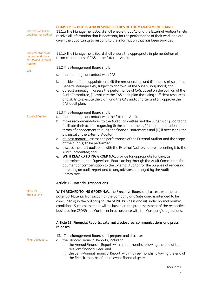#### **CHAPTER II – DUTIES AND RESPONSIBILITIES OF THE MANAGEMENT BOARD**

Information to CAS

Information to CAS 11.1.a The Management Board shall ensure that CAS and the External Auditor timely<br>and External Auditor time is a stress of the Company of the Line of the continuum of the concerners of the concerners receive all information that is necessary for the performance of their work and are given the opportunity to respond to the information that has been provided.

11.1.b The Management Board shall ensure the appropriate implementation of

Implementation of recommendations of CAS and External Auditor

CAS

11.2 The Management Board shall:

a. maintain regular contact with CAS;

recommendations of CAS or the External Auditor.

- b. decide on (i) the appointment, (ii) the remuneration and (iii) the dismissal of the General Manager CAS, subject to approval of the Supervisory Board; and
- c. at least annually (i) assess the performance of CAS, based on the opinion of the Audit Committee, (ii) evaluate the CAS audit plan (including sufficient resources and skills to execute the plan) and the CAS audit charter and (iii) approve the CAS audit plan.

11.3 The Management Board shall:

- External Auditor a. maintain regular contact with the External Auditor;
	- b. make recommendations to the Audit Committee and the Supervisory Board and facilitate their actions regarding (i) the appointment, (ii) the remuneration and terms of engagement to audit the financial statements and (iii) if necessary, the dismissal of the External Auditor;
	- c. at least annually assess the performance of the External Auditor and the scope of the audit(s) to be performed;
	- d. discuss the draft audit plan with the External Auditor, before presenting it to the Audit Committee; and
	- e. **WITH REGARD TO ING GROEP N.V.**, provide for appropriate funding, as determined by the Supervisory Board acting through the Audit Committee, for payment of compensation to the External Auditor for the purpose of rendering or issuing an audit report and to any advisors employed by the Audit Committee.

#### <span id="page-11-0"></span>**Article 12. Material Transactions**

**Material Transactions** 

**WITH REGARD TO ING GROEP N.V.**, the Executive Board shall assess whether a potential Material Transaction of the Company or a Subsidiary is intended to be concluded (i) in the ordinary course of ING business and (ii) under normal market conditions. Such assessment will be based on the pre-assessment of the respective business line CFO/Group Controller in accordance with the Company's regulations.

#### <span id="page-11-1"></span>**Article 13. Financial Reports, external disclosures, communications and press releases**

- 13.1 The Management Board shall prepare and disclose:
- Financial Reports a. the Periodic Financial Reports, including:
	- (i) the Annual Financial Report: within four months following the end of the relevant financial year; and
	- (ii) the Semi-Annual Financial Report: within three months following the end of the first six months of the relevant financial year;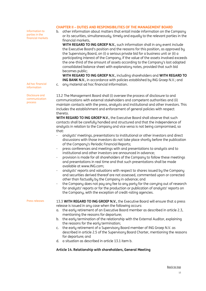#### **CHAPTER II – DUTIES AND RESPONSIBILITIES OF THE MANAGEMENT BOARD**

Information to parties in the financial markets

Ad hoc financial information

Disclosure and communication process

b. other information about matters that entail inside information on the Company or its securities, simultaneously, timely and equally to the relevant parties in the financial markets,

**WITH REGARD TO ING GROEP N.V.**, such information shall in any event include the Executive Board's position and the reasons for this position, as approved by the Supervisory Board, on (i) a serious private bid for a business unit or (ii) a participating interest of the Company, if the value of the assets involved exceeds the one-third of the amount of assets according to the Company's last adopted consolidated balance sheet with explanatory notes, provided that such bid becomes public;

**WITH REGARD TO ING GROEP N.V.**, including shareholders and **WITH REGARD TO ING BANK N.V.**, in accordance with policies established by ING Groep N.V.; and

c. any material ad hoc financial information.

13.2 The Management Board shall (i) oversee the process of disclosure to and communications with external stakeholders and competent authorities and (ii) maintain contacts with the press, analysts and institutional and other investors. This includes the establishment and enforcement of general policies with respect thereto.

**WITH REGARD TO ING GROEP N.V.**, the Executive Board shall observe that such contacts shall be carefully handled and structured and that the independence of analysts in relation to the Company and vice versa is not being compromised, so that:

- analysts' meetings, presentations to institutional or other investors and direct discussions with those investors do not take place shortly before the publication of the Company's Periodic Financial Reports;
- press conferences and meetings with and presentations to analysts and to institutional and other investors are announced in advance;
- provision is made for all shareholders of the Company to follow these meetings and presentations in real time and that such presentations shall be made available at www.ING.com;
- analysts' reports and valuations with respect to shares issued by the Company and securities derived thereof are not assessed, commented upon or corrected other than factually by the Company in advance; and
- the Company does not pay any fee to any party for the carrying out of research for analysts' reports or for the production or publication of analysts' reports on the Company, with the exception of credit-rating agencies.

Press releases 13.3 WITH REGARD TO ING GROEP N.V., the Executive Board will ensure that a press release is issued in any case when the following occurs:

- a. the early retirement of an Executive Board member as described in article 2.3, mentioning the reasons for departure;
- b. the early termination of the relationship with the External Auditor, explaining the reasons for the early termination;
- c. the early retirement of a Supervisory Board member of ING Groep N.V. as described in article 2.5 of the Supervisory Board Charter, mentioning the reasons for departure; and
- d. a situation as described in article 13.1 item b.

#### <span id="page-12-0"></span>**Article 14. Relationship with shareholders, General Meeting**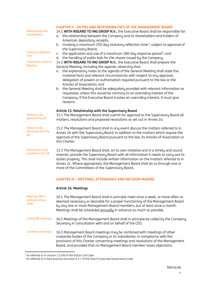<span id="page-13-0"></span>

| Relationship with<br>shareholders<br>Statutory reflection<br>time<br><b>Preparation General</b><br>Meeting | <b>CHAPTER II - DUTIES AND RESPONSIBILITIES OF THE MANAGEMENT BOARD</b><br>14.1 WITH REGARD TO ING GROEP N.V., the Executive Board shall be responsible for:<br>the relationship between the Company and its shareholders and holders of<br>α.<br>American depositary receipts;<br>b. invoking a maximum 250-day statutory reflection time <sup>4</sup> , subject to approval of<br>the Supervisory Board;<br>c. the application and use of a maximum 180-day response period <sup>5</sup> ; and<br>d. the handling of public bids for the shares issued by the Company.<br>14.2 WITH REGARD TO ING GROEP N.V., the Executive Board shall prepare the<br>General Meeting, including the agenda, observing that:<br>the explanatory notes to the agenda of the General Meeting shall state the<br>α.<br>material facts and relevant circumstances with respect to any approval,<br>delegation of powers or authorisation required pursuant to the law or the<br>Articles of Association; and<br>b. the General Meeting shall be adequately provided with relevant information as<br>requested, unless this would be contrary to an overriding interest of the<br>Company. If the Executive Board invokes an overriding interest, it must give<br>reasons. |  |
|------------------------------------------------------------------------------------------------------------|----------------------------------------------------------------------------------------------------------------------------------------------------------------------------------------------------------------------------------------------------------------------------------------------------------------------------------------------------------------------------------------------------------------------------------------------------------------------------------------------------------------------------------------------------------------------------------------------------------------------------------------------------------------------------------------------------------------------------------------------------------------------------------------------------------------------------------------------------------------------------------------------------------------------------------------------------------------------------------------------------------------------------------------------------------------------------------------------------------------------------------------------------------------------------------------------------------------------------------------------------------|--|
| Matters to be<br>approved by SB                                                                            | Article 15. Relationship with the Supervisory Board<br>15.1 The Management Board shall submit for approval to the Supervisory Board all<br>matters, resolutions and proposed resolutions as set out in Annex 2a.                                                                                                                                                                                                                                                                                                                                                                                                                                                                                                                                                                                                                                                                                                                                                                                                                                                                                                                                                                                                                                         |  |
| Matters to be<br>discussed with the<br><b>SB</b>                                                           | 15.2 The Management Board shall in any event discuss the matters referred to in<br>Annex 2b with the Supervisory Board. In addition to the matters which require the<br>approval of the Supervisory Board pursuant to the law, its Articles of Association or<br>this Charter.                                                                                                                                                                                                                                                                                                                                                                                                                                                                                                                                                                                                                                                                                                                                                                                                                                                                                                                                                                           |  |
| Information to be<br>provided to the SB                                                                    | 15.3 The Management Board shall, on its own initiative and in a timely and sound<br>manner, provide the Supervisory Board with all information it needs to carry out its<br>duties properly. This shall include written information on the matters referred to in<br>Annex 2c. Where appropriate, the Management Board shall do so through one or<br>more of the Committees of the Supervisory Board.                                                                                                                                                                                                                                                                                                                                                                                                                                                                                                                                                                                                                                                                                                                                                                                                                                                    |  |
|                                                                                                            | <b>CHAPTER III - MEETINGS, ATTENDANCE AND DECISION-MAKING</b>                                                                                                                                                                                                                                                                                                                                                                                                                                                                                                                                                                                                                                                                                                                                                                                                                                                                                                                                                                                                                                                                                                                                                                                            |  |
|                                                                                                            | Article 16. Meetings                                                                                                                                                                                                                                                                                                                                                                                                                                                                                                                                                                                                                                                                                                                                                                                                                                                                                                                                                                                                                                                                                                                                                                                                                                     |  |
| Meetings MB in<br>principle once a<br>week                                                                 | 16.1 The Management Board shall in principle meet once a week, or more often as<br>deemed necessary or desirable for a proper functioning of the Management Board<br>by any one or more Management Board members, but at least once a month.<br>Meetings shall be scheduled annually in advance as much as possible.                                                                                                                                                                                                                                                                                                                                                                                                                                                                                                                                                                                                                                                                                                                                                                                                                                                                                                                                     |  |
| <b>Calling MB meetings</b>                                                                                 | 16.2 Meetings of the Management Board shall in principle be called by the Company<br>Secretary in consultation with and on behalf of the CEO.                                                                                                                                                                                                                                                                                                                                                                                                                                                                                                                                                                                                                                                                                                                                                                                                                                                                                                                                                                                                                                                                                                            |  |
| Combined meetings                                                                                          | 16.3 Management Board meetings may be combined with meetings of other<br>corporate bodies of the Company or its Subsidiaries, in compliance with the<br>provisions of this Charter concerning meetings and resolutions of the Management<br>Board, and provided that no Management Board member raises objections.                                                                                                                                                                                                                                                                                                                                                                                                                                                                                                                                                                                                                                                                                                                                                                                                                                                                                                                                       |  |

<span id="page-13-4"></span><span id="page-13-3"></span><span id="page-13-2"></span><span id="page-13-1"></span><sup>4</sup> As referred to in section 2:114b of the Dutch Civil Code

<sup>&</sup>lt;sup>5</sup> As referred to in best practice provision 4.1.7 of the Dutch Corporate Governance Code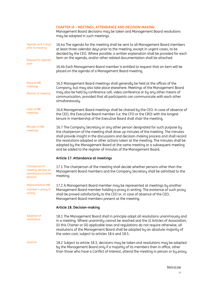#### **CHAPTER III – MEETINGS, ATTENDANCE AND DECISION-MAKING**

Management Board decisions may be taken and Management Board resolutions may be adopted in such meetings.

<span id="page-14-1"></span><span id="page-14-0"></span>

| Agenda sent 3 days<br>prior to meeting                                 | 16.4a The agenda for the meeting shall be sent to all Management Board members<br>at least three calendar days prior to the meeting, except in urgent cases, to be<br>decided by the CEO. Where possible, a written explanation shall be provided for each<br>item on the agenda, and/or other related documentation shall be attached.                                                                                                                                                              |
|------------------------------------------------------------------------|------------------------------------------------------------------------------------------------------------------------------------------------------------------------------------------------------------------------------------------------------------------------------------------------------------------------------------------------------------------------------------------------------------------------------------------------------------------------------------------------------|
| Request for agenda<br>item                                             | 16.4b Each Management Board member is entitled to request that an item will be<br>placed on the agenda of a Management Board meeting.                                                                                                                                                                                                                                                                                                                                                                |
| Place of MB<br>meetings<br>Manner of meeting                           | 16.5 Management Board meetings shall generally be held at the offices of the<br>Company, but may also take place elsewhere. Meetings of the Management Board<br>may also be held by conference call, video conference or by any other means of<br>communication, provided that all participants can communicate with each other<br>simultaneously.                                                                                                                                                   |
| <b>Chair of MB</b><br>meetings                                         | 16.6 Management Board meetings shall be chaired by the CEO. In case of absence of<br>the CEO, the Executive Board member (i.e. the CFO or the CRO) with the longest<br>tenure in membership of the Executive Board shall chair the meeting.                                                                                                                                                                                                                                                          |
| Minutes of MB<br>meetings                                              | 16.7 The Company Secretary or any other person designated for such purpose by<br>the chairperson of the meeting shall draw up minutes of the meeting. The minutes<br>shall provide insight in the discussions and decision-making process and shall record<br>the resolutions adopted or other actions taken at the meeting. The minutes shall be<br>adopted by the Management Board at the same meeting or a subsequent meeting<br>and be added to the register of minutes of the Management Board. |
|                                                                        | Article 17. Attendance at meetings                                                                                                                                                                                                                                                                                                                                                                                                                                                                   |
| Chairperson of<br>meeting decides on<br>admittance of other<br>persons | 17.1 The chairperson of the meeting shall decide whether persons other than the<br>Management Board members and the Company Secretary shall be admitted to the<br>meeting.                                                                                                                                                                                                                                                                                                                           |
| <b>Representation MB</b><br>$member - proxy in$<br>writing             | 17.2 A Management Board member may be represented at meetings by another<br>Management Board member holding a proxy in writing. The existence of such proxy<br>shall be proved satisfactorily to the CEO or, in case of absence of the CEO,<br>Management Board members present at the meeting.                                                                                                                                                                                                      |
|                                                                        | <b>Article 18. Decision-making</b>                                                                                                                                                                                                                                                                                                                                                                                                                                                                   |
| Adoption of<br>resolutions                                             | 18.1 The Management Board shall in principle adopt all resolutions unanimously and<br>in a meeting. Where unanimity cannot be reached and the (i) Articles of Association,<br>(ii) this Charter or (iii) applicable laws and regulations do not require otherwise, all<br>resolutions of the Management Board shall be adopted by an absolute majority of<br>the votes cast, subject to articles 18.4 and 18.5.                                                                                      |
| Quorum                                                                 | 18.2 Subject to article 18.3, decisions may be taken and resolutions may be adopted<br>by the Management Board only if a majority of its members then in office, other<br>than those who have a Conflict of Interest, attend the meeting in person or by proxy.                                                                                                                                                                                                                                      |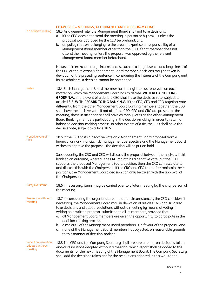| No decision-making                                 | <b>CHAPTER III - MEETINGS, ATTENDANCE AND DECISION-MAKING</b><br>18.3 As a general rule, the Management Board shall not take decisions:<br>if the CEO does not attend the meeting in person or by proxy, unless the<br>α.<br>proposal was approved by the CEO beforehand; and<br>on policy matters belonging to the area of expertise or responsibility of a<br>b.<br>Management Board member other than the CEO, if that member does not<br>attend the meeting, unless the proposal was approved by the relevant<br>Management Board member beforehand.                                                                                                                                                                                                                                                     |
|----------------------------------------------------|--------------------------------------------------------------------------------------------------------------------------------------------------------------------------------------------------------------------------------------------------------------------------------------------------------------------------------------------------------------------------------------------------------------------------------------------------------------------------------------------------------------------------------------------------------------------------------------------------------------------------------------------------------------------------------------------------------------------------------------------------------------------------------------------------------------|
|                                                    | However, in extra-ordinary circumstances, such as a long absence or a long illness of<br>the CEO or the relevant Management Board member, decisions may be taken in<br>deviation of the preceding sentence if, considering the interests of the Company and<br>its stakeholders, a decision cannot be postponed.                                                                                                                                                                                                                                                                                                                                                                                                                                                                                             |
| Votes                                              | 18.4 Each Management Board member has the right to cast one vote on each<br>matter on which the Management Board has to decide. WITH REGARD TO ING<br>GROEP N.V., in the event of a tie, the CEO shall have the decisive vote, subject to<br>article 18.5. WITH REGARD TO ING BANK N.V., if the CEO, CFO and CRO together vote<br>differently from the other Management Board Banking members together, the CEO<br>shall have the decisive vote. If not all of the CEO, CFO and CRO are present at the<br>meeting, those in attendance shall have as many votes as the other Management<br>Board Banking members participating in the decision-making, in order to retain a<br>balanced decision-making process. In other events of a tie, the CEO shall have the<br>decisive vote, subject to article 18.5. |
| Negative vote of<br><b>CRO</b>                     | 18.5 If the CRO casts a negative vote on a Management Board proposal from a<br>financial or non-financial risk management perspective and the Management Board<br>wishes to approve the proposal, the decision will be put on hold.                                                                                                                                                                                                                                                                                                                                                                                                                                                                                                                                                                          |
|                                                    | Subsequently, the CRO and CEO will discuss the proposal between themselves. If this<br>leads to an outcome, whereby the CRO maintains a negative vote, but the CEO<br>supports the proposed Management Board decision, then the CRO can escalate to<br>and discuss this with the Chairperson. If the CRO and CEO thereafter maintain their<br>positions, the Management Board decision can only be taken with the approval of<br>the Chairperson.                                                                                                                                                                                                                                                                                                                                                            |
| Carry over items                                   | 18.6 If necessary, items may be carried over to a later meeting by the chairperson of<br>the meeting.                                                                                                                                                                                                                                                                                                                                                                                                                                                                                                                                                                                                                                                                                                        |
| Resolution without a<br>meeting                    | 18.7 If, considering the urgent nature and other circumstances, the CEO considers it<br>necessary, the Management Board may in deviation of articles 16.5 and 18.2 also<br>take decisions and adopt resolutions without a meeting by means of voting in<br>writing on a written proposal submitted to all its members, provided that:<br>a. all Management Board members are given the opportunity to participate in the<br>decision-making process;<br>a majority of the Management Board members is in favour of the proposal; and<br>b.<br>none of the Management Board members has objected, on reasonable grounds,<br>C.<br>to this manner of decision-making.                                                                                                                                          |
| Report on resolution<br>adopted without<br>meeting | 18.8 The CEO and the Company Secretary shall prepare a report on decisions taken<br>and/or resolutions adopted without a meeting, which report shall be added to the<br>documents for the next meeting of the Management Board. The Company Secretary<br>shall add the decisions taken and/or the resolutions adopted in this way to the                                                                                                                                                                                                                                                                                                                                                                                                                                                                     |

#### [Back to top](#page-1-0)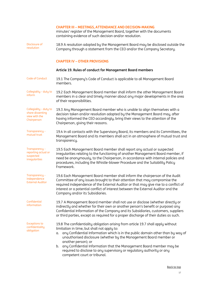#### **CHAPTER III – MEETINGS, ATTENDANCE AND DECISION-MAKING**

minutes' register of the Management Board, together with the documents containing evidence of such decision and/or resolution.

Disclosure of resolution 18.9 A resolution adopted by the Management Board may be disclosed outside the Company through a statement from the CEO and/or the Company Secretary.

#### <span id="page-16-1"></span><span id="page-16-0"></span>**CHAPTER IV – OTHER PROVISIONS**

#### **Article 19. Rules of conduct for Management Board members** Code of Conduct 19.1 The Company's Code of Conduct is applicable to all Management Board members. Collegiality – duty to inform 19.2 Each Management Board member shall inform the other Management Board members in a clear and timely manner about any major developments in the area of their responsibilities. Collegiality – duty to share dissenting view with the Chairperson 19.3 Any Management Board member who is unable to align themselves with a decision taken and/or resolution adopted by the Management Board may, after having informed the CEO accordingly, bring their views to the attention of the Chairperson, giving their reasons. Transparency – mutual trust 19.4 In all contacts with the Supervisory Board, its members and its Committees, the Management Board and its members shall act in an atmosphere of mutual trust and transparency. Transparency – reporting actual or suspected irregularities 19.5 Each Management Board member shall report any actual or suspected irregularities relating to the functioning of another Management Board member, if need be anonymously, to the Chairperson, in accordance with internal policies and procedures, including the Whistle-blower Procedure and the Suitability Policy Framework. Transparency – independence External Auditor 19.6 Each Management Board member shall inform the chairperson of the Audit Committee of any issues brought to their attention that may compromise the required independence of the External Auditor or that may give rise to a conflict of interest or a potential conflict of interest between the External Auditor and the Company and/or its Subsidiaries. Confidential information 19.7 A Management Board member shall not use or disclose (whether directly or indirectly and whether for their own or another person's benefit or purpose) any Confidential Information of the Company and its Subsidiaries, customers, suppliers or third parties, except as required for a proper discharge of their duties as such. Exceptions to confidentiality obligation 19.8 The confidentiality obligation arising from article 19.7 shall apply without limitation in time, but shall not apply to: a. any Confidential Information which is in the public domain other than by way of unauthorised disclosure (whether by the Management Board member or another person); or b. any Confidential Information that the Management Board member may be required to disclose to any supervisory or regulatory authority or any competent court or tribunal.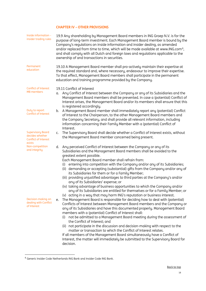## **CHAPTER IV – OTHER PROVISIONS**

| Inside information -<br>insider trading rules                                        | 19.9 Any shareholding by Management Board members in ING Groep N.V. is for the<br>purpose of long-term investment. Each Management Board member is bound by the<br>Company's regulations on inside information and insider dealing, as amended<br>and/or replaced from time to time, which will be made available at www.ING.com <sup>6</sup> ,<br>and shall comply with all Dutch and foreign laws and regulations applicable to the<br>ownership of and transactions in securities.                                                                                                                                                                                                                                                                                                                                                     |  |
|--------------------------------------------------------------------------------------|-------------------------------------------------------------------------------------------------------------------------------------------------------------------------------------------------------------------------------------------------------------------------------------------------------------------------------------------------------------------------------------------------------------------------------------------------------------------------------------------------------------------------------------------------------------------------------------------------------------------------------------------------------------------------------------------------------------------------------------------------------------------------------------------------------------------------------------------|--|
| Permanent<br>education                                                               | 19.10 A Management Board member shall pro-actively maintain their expertise at<br>the required standard and, where necessary, endeavour to improve their expertise.<br>To that effect, Management Board members shall participate in the permanent<br>education and training programme provided by the Company.                                                                                                                                                                                                                                                                                                                                                                                                                                                                                                                           |  |
| Conflict of Interest<br><b>MB</b> members                                            | 19.11 Conflict of Interest<br>Any Conflict of Interest between the Company or any of its Subsidiaries and the<br>α.<br>Management Board members shall be prevented. In case a (potential) Conflict of<br>Interest arises, the Management Board and/or its members shall ensure that this<br>is registered accordingly.                                                                                                                                                                                                                                                                                                                                                                                                                                                                                                                    |  |
| Duty to report<br><b>Conflict of Interest</b>                                        | b. A Management Board member shall immediately report any (potential) Conflict<br>of Interest to the Chairperson, to the other Management Board members and<br>the Company Secretary, and shall provide all relevant information, including<br>information concerning their Family Member with a (potential) Conflict of<br>Interest.                                                                                                                                                                                                                                                                                                                                                                                                                                                                                                     |  |
| <b>Supervisory Board</b><br>decides whether<br><b>Conflict of Interest</b><br>exists | The Supervisory Board shall decide whether a Conflict of Interest exists, without<br>C.<br>the Management Board member concerned being present.                                                                                                                                                                                                                                                                                                                                                                                                                                                                                                                                                                                                                                                                                           |  |
| Non-competition<br>and integrity                                                     | Any perceived Conflict of Interest between the Company or any of its<br>d.<br>Subsidiaries and the Management Board members shall be avoided to the<br>greatest extent possible.<br>Each Management Board member shall refrain from:<br>entering into competition with the Company and/or any of its Subsidiaries;<br>(i)<br>(ii) demanding or accepting (substantial) gifts from the Company and/or any of<br>its Subsidiaries for them or for a Family Member;<br>(iii) providing unjustified advantages to third parties at the Company's and/or<br>any of its Subsidiaries' expense; or<br>(iv) taking advantage of business opportunities to which the Company and/or<br>any of its Subsidiaries are entitled for themselves or for a Family Member; or                                                                              |  |
| Decision-making on<br>dealing with Conflict<br>of Interest                           | (v) acting in a way that may harm ING's reputation or business interest.<br>The Management Board is responsible for deciding how to deal with (potential)<br>е.<br>Conflicts of Interest between Management Board members and the Company or<br>any of its Subsidiaries and have this documented properly. Management Board<br>members with a (potential) Conflict of Interest shall:<br>not be admitted to a Management Board meeting during the assessment of<br>(i)<br>the Conflict of Interest; and<br>(ii) not participate in the discussion and decision-making with respect to the<br>matter or transaction to which the Conflict of Interest relates.<br>If all members of the Management Board simultaneously have a Conflict of<br>Interest, the matter will immediately be submitted to the Supervisory Board for<br>decision. |  |

<span id="page-17-0"></span><sup>6</sup> Generic Insider Code Netherlands ING Bank and Insider Code ING Bank.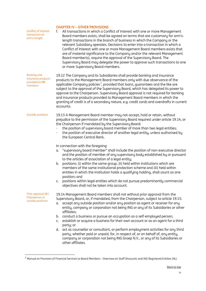#### **CHAPTER IV – OTHER PROVISIONS**

Conflict of Interest transaction at arm's-length f. All transactions in which a Conflict of Interest with one or more Management Board members exists, shall be agreed on terms that are customary for arm'slength transactions in the branch of business in which the Company or the relevant Subsidiary operates. Decisions to enter into a transaction in which a Conflict of Interest with one or more Management Board members exists that are of material significance to the Company and/or the relevant Management Board member(s), require the approval of the Supervisory Board. The Supervisory Board may delegate the power to approve such transactions to one or more Supervisory Board members. Banking and insurance products provided to MB members 19.12 The Company and its Subsidiaries shall provide banking and insurance products to the Management Board members only with due observance of the applicable Company policies<sup>7</sup>, provided that loans, guarantees and the like are subject to the approval of the Supervisory Board, which has delegated its power to approve to the Chairperson. Supervisory Board approval is not required for banking and insurance products provided to Management Board members in which the granting of credit is of a secondary nature, e.g. credit cards and overdrafts in current accounts. Outside positions 19.13 A Management Board member may not accept, hold or retain, without prejudice to the permission of the Supervisory Board required under article 19.14, or the Chairperson if mandated by the Supervisory Board: the position of supervisory board member of more than two legal entities; the position of executive director of another legal entity, unless authorised by the European Central Bank. In connection with the foregoing: a. "supervisory board member" shall include the position of non-executive director and the position of member of any supervisory body established by or pursuant to the articles of association of a legal entity; b. positions: (i) within the same group, (ii) held within institutions which are members of the same institutional protection scheme and (iii) held within entities in which the institution holds a qualifying holding, shall count as one position; and c. positions within legal entities which do not pursue predominantly commercial objectives shall not be taken into account. Prior approval SB / Chairperson re outside positions 19.14 Management Board members shall not without prior approval from the Supervisory Board, or, if mandated, from the Chairperson, subject to article 19.15: a. accept any outside position and/or any position as agent or receiver for any entity, company or corporation not being ING or any of its Subsidiaries or other affiliates; b. conduct a business or pursue an occupation as a self-employed person; c. establish or acquire a business for their own account or as an agent for a third party; or d. act as counsellor or consultant, or perform employment activities for any third party, whether paid or unpaid, for, in respect of, or on behalf of, any entity, company or corporation not being ING Groep N.V., or any of its Subsidiaries or other affiliates.

<span id="page-18-0"></span><sup>7</sup> Manual on Provision of Financial Services to Board Members - Overview on Staff Discounts and ING Registered Entities (NL)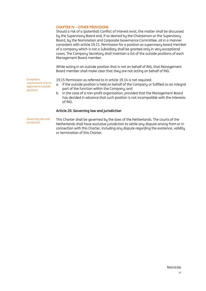#### **CHAPTER IV – OTHER PROVISIONS**

Should a risk of a (potential) Conflict of Interest exist, the matter shall be discussed by the Supervisory Board and, if so desired by the Chairperson or the Supervisory Board, by the Nomination and Corporate Governance Committee, all in a manner consistent with article 19.11. Permission for a position as supervisory board member of a company which is not a Subsidiary shall be granted only in very exceptional cases. The Company Secretary shall maintain a list of the outside positions of each Management Board member.

While acting in an outside position that is not on behalf of ING, that Management Board member shall make clear that they are not acting on behalf of ING.

Exceptions requirement of prior approval re outside positions

19.15 Permission as referred to in article 19.14 is not required:

- a. if the outside position is held on behalf of the Company or fulfilled as an integral part of the function within the Company; and
- b. in the case of a non-profit organisation, provided that the Management Board has decided in advance that such position is not incompatible with the interests of ING.

#### <span id="page-19-0"></span>**Article 20. Governing law and jurisdiction**

Governing law and<br>jurisdiction

This Charter shall be governed by the laws of the Netherlands. The courts of the Netherlands shall have exclusive jurisdiction to settle any dispute arising from or in connection with this Charter, including any dispute regarding the existence, validity or termination of this Charter.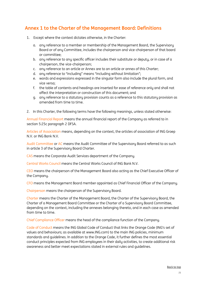# <span id="page-20-0"></span>**Annex 1 to the Charter of the Management Board: Definitions**

- 1. Except where the context dictates otherwise, in the Charter:
	- a. any reference to a member or membership of the Management Board, the Supervisory Board or of any Committee, includes the chairperson and vice-chairperson of that board or committee;
	- b. any reference to any specific officer includes their substitute or deputy, or in case of a chairperson, the vice-chairperson;
	- c. any reference to an article or Annex are to an article or annex of this Charter;
	- d. any reference to "including" means "including without limitation";
	- e. words and expressions expressed in the singular form also include the plural form, and vice versa;
	- f. the table of contents and headings are inserted for ease of reference only and shall not affect the interpretation or construction of this document; and
	- g. any reference to a statutory provision counts as a reference to this statutory provision as amended from time to time.
- 2. In this Charter, the following terms have the following meanings, unless stated otherwise:

Annual Financial Report means the annual financial report of the Company as referred to in section 5:25c paragraph 2 DFSA.

Articles of Association means, depending on the context, the articles of association of ING Groep N.V. or ING Bank N.V.

Audit Committee or AC means the Audit Committee of the Supervisory Board referred to as such in article 3 of the Supervisory Board Charter.

CAS means the Corporate Audit Services department of the Company.

Central Works Council means the Central Works Council of ING Bank N.V.

CEO means the chairperson of the Management Board also acting as the Chief Executive Officer of the Company.

CFO means the Management Board member appointed as Chief Financial Officer of the Company.

Chairperson means the chairperson of the Supervisory Board.

Charter means the Charter of the Management Board, the Charter of the Supervisory Board, the Charter of a Management Board Committee or the Charter of a Supervisory Board Committee, depending on the context, including the annexes belonging thereto, and in each case as amended from time to time.

Chief Compliance Officer means the head of the compliance function of the Company.

Code of Conduct means the ING Global Code of Conduct that links the Orange Code (ING's set of values and behaviours; as available at www.ING.com) to the main ING policies, minimum standards and guidelines. In addition to the Orange Code, it further defines the most essential conduct principles expected from ING employees in their daily activities, to create additional risk awareness and better meet expectations stated in external rules and guidelines.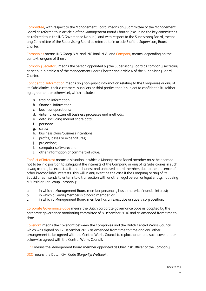Committee, with respect to the Management Board, means any Committee of the Management Board as referred to in article 3 of the Management Board Charter (excluding the key committees as referred to in the ING Governance Manual), and with respect to the Supervisory Board, means any Committee of the Supervisory Board as referred to in article 3 of the Supervisory Board Charter.

Companies means ING Groep N.V. and ING Bank N.V., and Company means, depending on the context, anyone of them.

Company Secretary means the person appointed by the Supervisory Board as company secretary as set out in article 8 of the Management Board Charter and article 6 of the Supervisory Board Charter.

Confidential Information means any non-public information relating to the Companies or any of its Subsidiaries, their customers, suppliers or third parties that is subject to confidentiality (either by agreement or otherwise), which includes:

- a. trading information;
- b. financial information;
- c. business operations;
- d. (internal or external) business processes and methods;
- e. data, including market share data;
- f. personnel;
- g. sales;
- h. business plans/business intentions;
- i. profits, losses or expenditures;
- j. projections;
- k. computer software; and
- l. other information of commercial value.

Conflict of Interest means a situation in which a Management Board member must be deemed not to be in a position to safeguard the interests of the Company or any of its Subsidiaries in such a way as may be expected from an honest and unbiased board member, due to the presence of other irreconcilable interests. This will in any event be the case if the Company or any of its Subsidiaries intends to enter into a transaction with another legal person or legal entity, not being a Subsidiary or Group Company:

- a. in which a Management Board member personally has a material financial interest;
- b. in which a Family Member is a board member; or
- c. in which a Management Board member has an executive or supervisory position.

Corporate Governance Code means the Dutch corporate governance code as adopted by the corporate governance monitoring committee of 8 December 2016 and as amended from time to time.

Covenant means the Covenant between the Companies and the Dutch Central Works Council which was signed on 17 December 2013 as amended from time to time and any other arrangement to be agreed with the Central Works Council to replace or amend such covenant or otherwise agreed with the Central Works Council.

CRO means the Management Board member appointed as Chief Risk Officer of the Company.

DCC means the Dutch Civil Code (*Burgerlijk Wetboek*).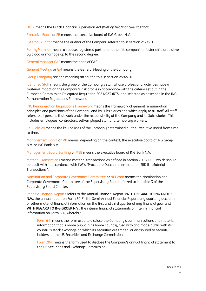DFSA means the Dutch Financial Supervision Act (*Wet op het financieel toezicht*).

Executive Board or EB means the executive board of ING Groep N.V.

External Auditor means the auditor of the Company referred to in section 2:393 DCC.

Family Member means a spouse, registered partner or other life companion, foster child or relative by blood or marriage up to the second degree.

General Manager CAS means the head of CAS.

General Meeting or GM means the General Meeting of the Company.

Group Company has the meaning attributed to it in section 2:24b DCC.

Identified Staff means the group of the Company's staff whose professional activities have a material impact on the Company's risk profile in accordance with the criteria set out in the European Commission Delegated Regulation 2021/923 (RTS) and selected as described in the ING Remuneration Regulations Framework.

ING Remuneration Regulations Framework means the Framework of general remuneration principles and provisions of the Company and its Subsidiaries and which apply to all staff. All staff refers to all persons that work under the responsibility of the Company and its Subsidiaries. This includes employees, contractors, self-employed staff and temporary workers.

Key Policies means the key policies of the Company determined by the Executive Board from time to time.

Management Board or MB means, depending on the context, the executive board of ING Groep N.V. or ING Bank N.V.

Management Board Banking or MBB means the executive board of ING Bank N.V.

Material Transactions means material transactions as defined in section 2:167 DCC, which should be dealt with in accordance with ING's "Procedure Dutch implementation SRD II – Material Transactions".

Nomination and Corporate Governance Committee or NCGcom means the Nomination and Corporate Governance Committee of the Supervisory Board referred to in article 3 of the Supervisory Board Charter.

Periodic Financial Reports refers to the Annual Financial Report, (**WITH REGARD TO ING GROEP N.V.**, the annual report on Form 20-F), the Semi-Annual Financial Report, any quarterly accounts or other material financial information on the first and third quarter of any financial year and **WITH REGARD TO ING GROEP N.V.**, the interim financial statements or interim financial information on Form 6-K, whereby:

Form 6-K means the form used to disclose the Company's communications and material information that is made public in its home country, filed with and made public with its country's stock exchange on which its securities are traded, or distributed to security holders, to the US Securities and Exchange Commission.

Form 20-F means the form used to disclose the Company's annual financial statement to the US Securities and Exchange Commission.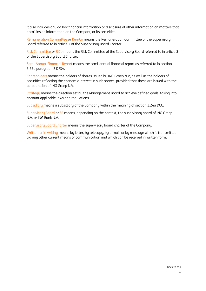It also includes any ad hoc financial information or disclosure of other information on matters that entail inside information on the Company or its securities.

Remuneration Committee or RemCo means the Remuneration Committee of the Supervisory Board referred to in article 3 of the Supervisory Board Charter.

Risk Committee or RiCo means the Risk Committee of the Supervisory Board referred to in article 3 of the Supervisory Board Charter.

Semi-Annual Financial Report means the semi-annual financial report as referred to in section 5:25d paragraph 2 DFSA.

Shareholders means the holders of shares issued by ING Groep N.V, as well as the holders of securities reflecting the economic interest in such shares, provided that these are issued with the co-operation of ING Groep N.V.

Strategy means the direction set by the Management Board to achieve defined goals, taking into account applicable laws and regulations.

Subsidiary means a subsidiary of the Company within the meaning of section 2:24a DCC.

Supervisory Board or SB means, depending on the context, the supervisory board of ING Groep N.V. or ING Bank N.V.

Supervisory Board Charter means the supervisory board charter of the Company.

Written or in writing means by letter, by telecopy, by e-mail, or by message which is transmitted via any other current means of communication and which can be received in written form.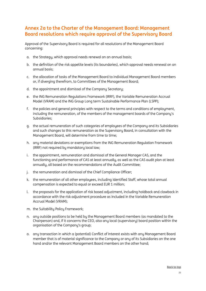# <span id="page-24-0"></span>**Annex 2a to the Charter of the Management Board: Management Board resolutions which require approval of the Supervisory Board**

Approval of the Supervisory Board is required for all resolutions of the Management Board concerning:

- a. the Strategy, which approval needs renewal on an annual basis;
- b. the definition of the risk appetite levels (its boundaries), which approval needs renewal on an annual basis;
- c. the allocation of tasks of the Management Board to individual Management Board members or, if diverging therefrom, to Committees of the Management Board;
- d. the appointment and dismissal of the Company Secretary;
- e. the ING Remuneration Regulations Framework (IRRF), the Variable Remuneration Accrual Model (VRAM) and the ING Group Long term Sustainable Performance Plan (LSPP);
- f. the policies and general principles with respect to the terms and conditions of employment, including the remuneration, of the members of the management boards of the Company's Subsidiaries;
- g. the actual remuneration of such categories of employees of the Company and its Subsidiaries and such changes to this remuneration as the Supervisory Board, in consultation with the Management Board, will determine from time to time;
- h. any material deviations or exemptions from the ING Remuneration Regulation Framework (IRRF) not required by mandatory local law;
- i. the appointment, remuneration and dismissal of the General Manager CAS, and the functioning and performance of CAS at least annually, as well as the CAS audit plan at least annually, all based on the recommendations of the Audit Committee;
- j. the remuneration and dismissal of the Chief Compliance Officer;
- k. the remuneration of all other employees, including Identified Staff, whose total annual compensation is expected to equal or exceed EUR 1 million;
- l. the proposals for the application of risk based adjustment, including holdback and clawback in accordance with the risk adjustment procedure as included in the Variable Remuneration Accrual Model (VRAM);
- m. the Suitability Policy Framework;
- n. any outside positions to be held by the Management Board members (as mandated to the Chairperson) and, if it concerns the CEO, also any local (supervisory) board position within the organisation of the Company's group;
- o. any transaction in which a (potential) Conflict of Interest exists with any Management Board member that is of material significance to the Company or any of its Subsidiaries on the one hand and/or the relevant Management Board members on the other hand;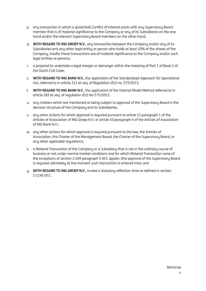- p. any transaction in which a (potential) Conflict of Interest exists with any Supervisory Board member that is of material significance to the Company or any of its Subsidiaries on the one hand and/or the relevant Supervisory Board members on the other hand;
- q. **WITH REGARD TO ING GROEP N.V.**, any transaction between the Company and/or any of its Subsidiaries and any other legal entity or person who holds at least 10% of the shares of the Company, insofar these transactions are of material significance to the Company and/or such legal entities or persons;
- r. a proposal to undertake a legal merger or demerger within the meaning of Part 7 of Book 2 of the Dutch Civil Code;
- s. **WITH REGARD TO ING BANK N.V.**, the application of the Standardized Approach for operational risk, referred to in article 312 et seq. of Regulation (EU) no. 575/2013;
- t. **WITH REGARD TO ING BANK N.V.**, the application of the Internal Model Method referred to in article 283 et seq. of regulation (EU) No 575/2013;
- u. any matters which are mentioned as being subject to approval of the Supervisory Board in the decision structure of the Company and its Subsidiaries;
- v. any other actions for which approval is required pursuant to article 21 paragraph 1 of the Articles of Association of ING Groep N.V. or article 10 paragraph 4 of the Articles of Association of ING Bank N.V.;
- w. any other actions for which approval is required pursuant to the law, the Articles of Association, the Charter of the Management Board, the Charter of the Supervisory Board, or any other applicable regulations;
- x. a Material Transaction of the Company or a Subsidiary that is not in the ordinary course of business or not under normal market conditions and for which Material Transaction none of the exceptions of section 2:169 paragraph 5 DCC applies (the approval of the Supervisory Board is required ultimately at the moment such transaction is entered into); and
- y. **WITH REGARD TO ING GROEP N.V**., invoke a statutory reflection time as defined in section 2:114b DCC.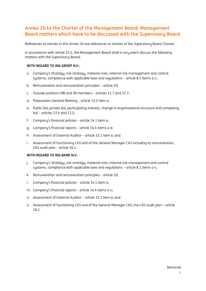## **Annex 2b to the Charter of the Management Board: Management Board matters which have to be discussed with the Supervisory Board**

References to articles in this Annex 2b are references to articles of the Supervisory Board Charter.

In accordance with article 15.2, the Management Board shall in any event discuss the following matters with the Supervisory Board:

#### **WITH REGARD TO ING GROEP N.V.**:

- a. Company's Strategy, risk strategy, material risks, internal risk management and control sustems, compliance with applicable laws and regulations – article 8.1 items a-c;
- b. Remuneration and remuneration principles article 10;
- c. Outside positions MB and SB members articles 11.7 and 12.7;
- d. Preparation General Meeting article 13.2 item a;
- e. Public bid, private bid, participating interest, change in organisational structure and competing bid – articles 13.4 and 13.5;
- f. Company's financial policies article 14.1 item a;
- g. Company's financial reports article 14.4 items a-e;
- h. Assessment of External Auditor article 15.1 item e; and
- i. Assessment of functioning CAS and of the General Manager CAS including its remuneration, CAS audit plan – article 16.1.

#### **WITH REGARD TO ING BANK N.V.**:

- j. Company's Strategy, risk strategy, material risks, internal risk management and control systems, compliance with applicable laws and regulations – article 8.1 items a-c;
- k. Remuneration and remuneration principles article 10;
- l. Company's financial policies article 14.1 item a;
- m. Company's financial reports article 14.4 items a-c;
- n. Assessment of External Auditor article 15.1 item e; and
- o. Assessment of functioning CAS and of the General Manager CAS, the CAS audit plan article 16.1.